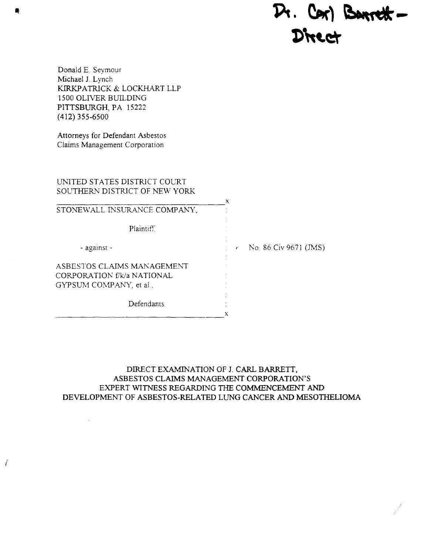# $R$ . Cor) Barrett - $\bullet$ " $\bullet$ "

Donald E. Seymour Michael J. Lynch KIRKPATRICK & LOCKHART LLP 1500 OLIVER BUILDING PITTSBURGH, PA 15222 (412) 355-6500

Attorneys for Defendant Asbestos Claims Management Corporation

(

UNITED STATES DISTRICT COURT SOUTHERN DISTRICT OF NEW YORK

STONEWALL INSURANCE COMPANY, Plaintiff - agamst - ASBESTOS CLAIMS MANAGEMENT CORPORATION f/k/a NATIONAL GYPSUM COMPANY, et al., Defendants x x  $\cdot$  No. 86 Civ 9671 (JMS)

DIRECT EXAMINATION OF 1. CARL BARRETT, ASBESTOS CLAIMS MANAGEMENT CORPORATION'S EXPERT WITNESS REGARDING THE COMMENCEMENT AND DEVELOPMENT OF ASBESTOS-RELATED LUNG CANCER AND MESOTHELIOMA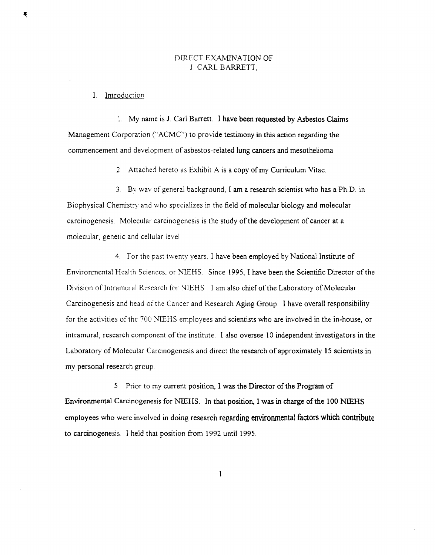# DIRECT EXAMINATION OF ] CARL BARRETT,

#### I. Introduction

Ę

1. My name is 1 Carl Barrett. I have been requested by Asbestos Claims Management Corporation ("ACMC") to provide testimony in this action regarding the commencement and development of asbestos-related lung cancers and mesothelioma.

2 Attached hereto as Exhibit A is a copy of my Curriculum Vitae.

3 By wav of general background, I am a research scientist who has a Ph.D. in Biophysical Chemistry and who specializes in the field of molecular biology and molecular carcinogenesis. Molecular carcinogenesis is the study of the development of cancer at a molecular, genetic and cellular level

4. For the past twenty years. I have been employed by National Institute of Environmental Health Sciences, or NIEHS. Since 1995, I have been the Scientific Director of the Division of Intramural Research for NIEHS. I am also chief of the Laboratory of Molecular Carcinogenesis and head of the Cancer and Research Aging Group. I have overall responsibility for the activities of the 700 NJEHS employees and scientists who are involved in the in-house, or intramural, research component of the institute. I also oversee 10 independent investigators in the Laboratory of Molecular Carcinogenesis and direct the research of approximately 15 scientists in my personal research group.

5 Prior to my current position., I was the Director of the Program of Environmental Carcinogenesis for NIEHS. In that position, I was in charge of the 100 NIEHS employees who were involved in doing research regarding environmental factors which contribute to carcinogenesis I held that position from 1992 until 1995.

 $\mathbf{1}$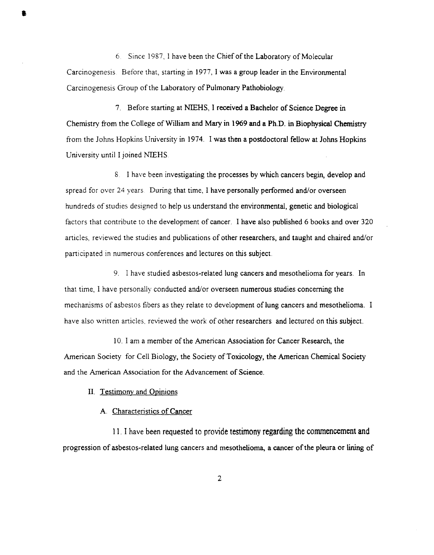6 Since 1987, I have been the Chief of the Laboratory of Molecular Carcinogenesis Before that, starting in 1977, I was a group leader in the Environmental Carcinogenesis Group of the Laboratory of Pulmonary Pathobiology.

7. Before starting at NIEHS, I received a Bachelor of Science Degree in Chemistry from the College of William and Mary in 1969 and a Ph.D. in Biophysical Chemistry from the Johns Hopkins University in 1974. I was then a postdoctoral fellow at Johns Hopkins University until I joined NIEHS

8 I have been investigating the processes by which cancers begin, develop and spread for over 24 years. During that time, I have personally performed and/or overseen hundreds of studies designed to help us understand the environmental, genetic and biological factors that contribute to the development of cancer. I have also published 6 books and over 320 articles, reviewed the studies and publications of other researchers, and taught and chaired and/or participated in numerous conferences and lectures on this subject.

9. I have studied asbestos-related lung cancers and mesothelioma for years. In that time, I have personally conducted and/or overseen numerous studies concerning the mechanisms of asbestos fibers as they relate to development of lung cancers and mesothelioma. I have also written articles. reviewed the work of other researchers and lectured on this subject.

10. I am a member of the American Association for Cancer Research, the American Society for Cell Biology, the Society of Toxicology, the American Chemical Society and the American Association for the Advancement of Science.

#### II. Testimony and Opinions

•

## A Characteristics of Cancer

11. I have been requested to provide testimony regarding the commencement and progression of asbestos-related lung cancers and mesothelioma, a cancer of the pleura or lining of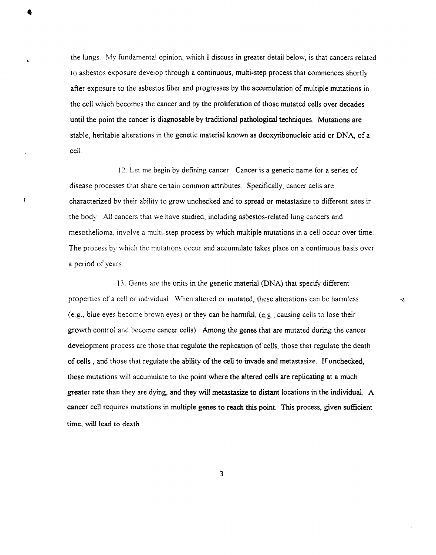the lungs. My fundamental opinion, which I discuss in greater detail below, is that cancers related to asbestos exposure develop through a continuous, multi-step process that commences shortly after exposure to the asbestos fiber and progresses by the accumulation of multiple mutations in the cell which becomes the cancer and by the proliferation of those mutated cells over decades until the point the cancer is diagnosable by traditional pathological techniques. Mutations are stable, heritable alterations in the genetic material known as deoxyribonucleic acid or DNA, of a cell.

12. Let me begin by defining cancer. Cancer is a generic name for a series of disease processes that share certain common attributes. Specifically, cancer cells are characterized by their ability to grow unchecked and to spread or metastasize to different sites in the body. All cancers that we have studied, including asbestos-related lung cancers and mesothelioma, involve a multi-step process by which multiple mutations in a cell occur over time. The process by which the mutations occur and accumulate takes place on a continuous basis over a period of years

13. Genes are the units in the genetic material (DNA) that specify different properties of a cell or individual. \Vhen altered or mutated, these alterations can be harmless (e.g., blue eyes become brown eyes) or they can be harmful,  $(e.g.,)$  causing cells to lose their growth control and become cancer cells). Among the genes that are mutated during the cancer development process are those that regulate the replication of cells, those that regulate the death of cells , and those that regulate the ability of the cell to invade and metastasize. If unchecked, these mutations will accumulate to the point where the altered cells are replicating at a much greater rate than they are dying, and they will metastasize to distant locations in the individual. A cancer cell requires mutations in multiple genes to reach this point. This process, given sufficient time, will lead to death

r

.... .J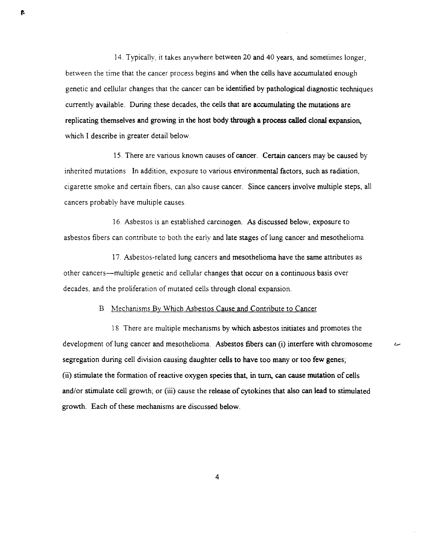14. Typically, it takes anywhere between 20 and 40 years, and sometimes longer, between the time that the cancer process begins and when the cells have accumulated enough genetic and cellular changes that the cancer can be identified by pathological diagnostic techniques currently available. During these decades, the cells that are accumulating the mutations are replicating themselves and growing in the host body through a process called clonal expansion, which I describe in greater detail below.

1 5. There are various known causes of cancer. Certain cancers may be caused by inherited mutations. In addition, exposure to various environmental factors, such as radiation, cigarette smoke and certain fibers, can also cause cancer. Since cancers involve multiple steps, all cancers probably have multiple causes

16 Asbestos is an established carcinogen. As discussed below, exposure to asbestos fibers can contribute to both the early and late stages of lung cancer and mesothelioma.

17. Asbestos-related lung cancers and mesothelioma have the same attributes as other cancers-multiple genetic and cellular changes that occur on a continuous basis over decades. and the proliferation of mutated cells through clonal expansion.

## B. Mechanisms By Which Asbestos Cause and Contribute to Cancer

18 There are multiple mechanisms by which asbestos initiates and promotes the development of lung cancer and mesothelioma. Asbestos fibers can (i) interfere with chromosome segregation during cell division causing daughter cells to have too many or too few genes;  $(i)$  stimulate the formation of reactive oxygen species that, in turn, can cause mutation of cells and/or stimulate cell growth; or (iii) cause the release of cytokines that also can lead to stimulated growth. Each of these mechanisms are discussed below.

سا

4

 $\mathbf{f}$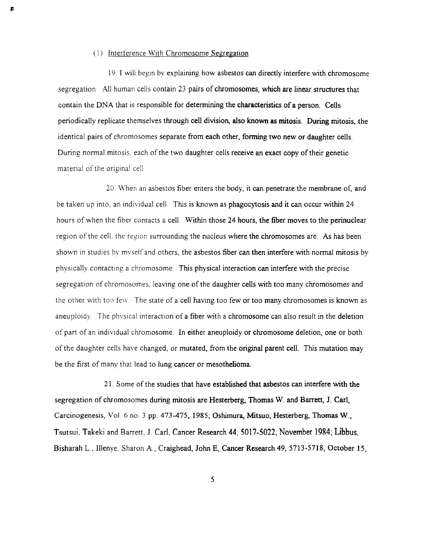#### (J) Interference With Chromosome Segregation

p.

19. I will begin bv explaining how asbestos can directly interfere with chromosome segregation All human cells contain 23 pairs of chromosomes, which are linear structures that contain the DNA that is responsible for determining the characteristics of a person. Cells periodically replicate themselves through cell division, also known as mitosis. During mitosis, the identical pairs of chromosomes separate from each other, forming two new or daughter cells. During normal mitosis, each of the two daughter cells receive an exact copy of their genetic material of the original cell

20. When an asbestos fiber enters the body, it can penetrate the membrane of, and be taken up into, an individual cell. This is known as phagocytosis and it can occur within 24 hours of when the fiber contacts a cell. Within those 24 hours, the fiber moves to the perinuclear region of the cell. the region surrounding the nucleus where the chromosomes are. As has been shown in studies by myself and others, the asbestos fiber can then interfere with normal mitosis by physically contacting a chromosome This physical interaction can interfere with the precise segregation of chromosomes, leaving one of the daughter cells with too many chromosomes and the other with too few. The state of a cell having too few or too many chromosomes is known as aneuploidy. The physical interaction of a fiber with a chromosome can also result in the deletion of pan of an individual chromosome. In either aneuploidy or chromosome deletion, one or both of the daughter cells have changed, or mutated, from the original parent cell. This mutation may be the first of many that lead to lung cancer or mesothelioma.

21. Some of the studies that have established that asbestos can interfere with the segregation of chromosomes during mitosis are Hesterberg, Thomas W. and Barrett, J. Carl, Carcinogenesis, Vol 6 no. 3 pp. 473-475, 1985; Oshimura, Mitsuo, Hesterberg, Thomas W., Tsutsui, Takeki and Barrett, 1 Carl, Cancer Research 44, 5017-5022, November 1984; Libbus, Bisharah L, IlIenye, Sharon A., Craighead, John E, Cancer Research 49,5713-5718, October 15,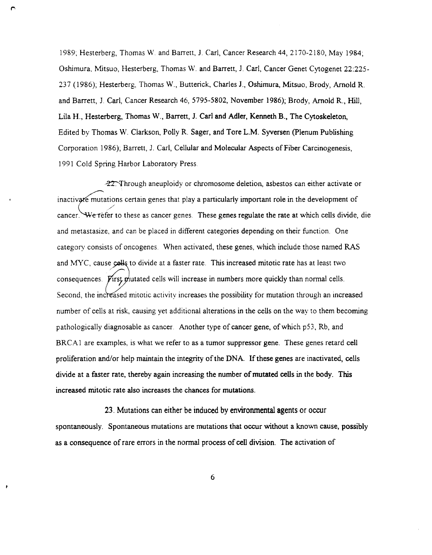1989; Hesterberg, Thomas W. and Barrett, J. Carl, Cancer Research 44, 2170-2180, May 1984; Oshimura, Mitsuo, Hesterberg, Thomas W. and Barrett, J. Carl, Cancer Genet Cytogenet 22:225- 237 (1986); Hesterberg, Thomas W., Butterick, Charles 1., Oshimura, Mitsuo, Brody, Arnold R. and Barrett, J. Carl, Cancer Research 46, 5795-5802, November 1986); Brody, Arnold R., Hill, Lila H., Hesterberg, Thomas W., Barrett, J. Carl and Adler, Kenneth B., The Cytoskeleton, Edited by Thomas W. Clarkson, Polly R. Sager, and Tore L.M. Syversen (plenum Publishing Corporation 1986); Barrett, J. Carl, Cellular and Molecular Aspects of Fiber Carcinogenesis, 1991 Cold Spring Harbor Laboratory Press

 $-22$ . Through aneuploidy or chromosome deletion, asbestos can either activate or inactivate mutations certain genes that play a particularly important role in the development of / cancer. We refer to these as cancer genes. These genes regulate the rate at which cells divide, die and metastasize, and can be placed in different categories depending on their function. One category consists of oncogenes. When activated, these genes, which include those named RAS and MYC, cause colls to divide at a faster rate. This increased mitotic rate has at least two consequences. First mutated cells will increase in numbers more quickly than normal cells. Second, the increased mitotic activity increases the possibility for mutation through an increased number of cells at risk, causing yet additional alterations in the cells on the way to them becoming pathologically diagnosable as cancer. Another type of cancer gene, of which p53, Rb, and BRCA1 are examples, is what we refer to as a tumor suppressor gene. These genes retard cell proliferation and/or help maintain the integrity of the DNA. If these genes are inactivated, cells divide at a faster rate, thereby again increasing the number of mutated cells in the body. This increased mitotic rate also increases the chances for mutations.

23. Mutations can either be induced by environmental agents or occur spontaneously. Spontaneous mutations are mutations that occur without a known cause, possibly as a consequence of rare errors in the normal process of cell division. The activation of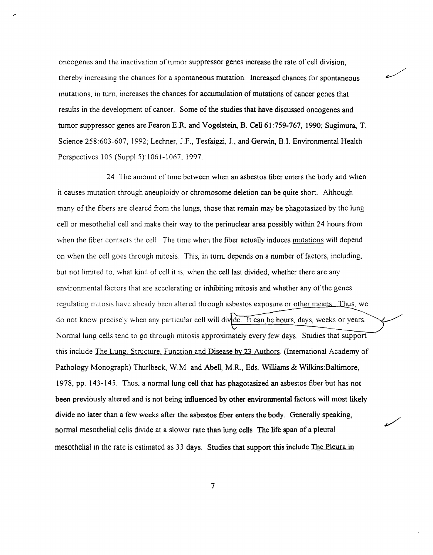oncogenes and the inactivation of tumor suppressor genes increase the rate of cell division, thereby increasing the chances for a spontaneous mutation. Increased chances for spontaneous mutations, in tum, increases the chances for accumulation of mutations of cancer genes that results in the development of cancer. Some of the studies that have discussed oncogenes and tumor suppressor genes are Fearon E.R. and Vogelstein, B. Cell 61:759-767, 1990; Sugimura, T. Science 258:603-607, 1992; Lechner, J.F., Tesfaigzi, J., and Gerwin, B.I. Environmental Health Perspectives 105 (Suppl 5) 1061-1067, 1997.

,-

24 The amount of time between when an asbestos fiber enters the body and when it causes mutation through aneuploidy or chromosome deletion can be quite short. Although many of the fibers are cleared from the lungs, those that remain may be phagotasized by the lung cell or mesothelial cell and make their way to the perinuclear area possibly within 24 hours from when the fiber contacts the cell. The time when the fiber actually induces mutations will depend on when the cell goes through mitosis This, in turn, depends on a number of factors, including, but not limited to, what kind of cell it is, when the cell last divided, whether there are any environmental factors that are accelerating or inhibiting mitosis and whether any of the genes regulating mitosis have already been altered through asbestos exposure or other means. Thus, we do not know precisely when any particular cell will divide. It can be hours, days, weeks or years. Normal lung cells tend to go through mitosis approximately every few days. Studies that support this include The Lung. Structure, Function and Disease by 23 Authors. (International Academy of Pathology Monograph) Thurlbeck, W.M. and Abell, M.R., Eds. Williams & Wilkins:Baltimore, 1978, pp. 143-145. Thus, a normal lung cell that has phagotasized an asbestos fiber but has not been previously altered and is not being influenced by other environmental factors will most likely divide no later than a few weeks after the asbestos fiber enters the body. Generally speaking, normal mesothelial cells divide at a slower rate than lung cells The life span of a pleural mesothelial in the rate is estimated as 33 days. Studies that support this include The Pleura in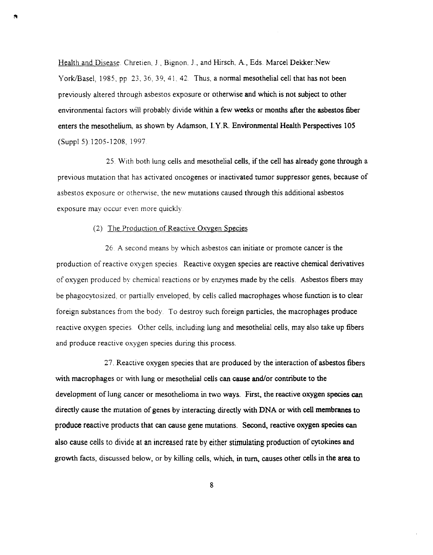Health and Disease. Chretien, J., Bignon, J., and Hirsch, A., Eds. Marcel Dekker:New York/Basel, 1985, pp. 23, 36, 39, 41, 42. Thus, a normal mesothelial cell that has not been previously altered through asbestos exposure or otherwise and which is not subject to other environmental factors will probably divide within a few weeks or months after the asbestos fiber enters the mesothelium, as shown by Adamson, I.Y.R. Environmental Health Perspectives 105 (Suppl 5) 1205-1208, 1997

25. With both lung cells and mesothelial cells, if the cell has already gone through a previous mutation that has activated oncogenes or inactivated tumor suppressor genes, because of asbestos exposure or otherwise, the new mutations caused through this additional asbestos exposure may occur even more quickly

#### (2) The Production of Reactive Oxygen Species

26 A second means by which asbestos can initiate or promote cancer is the production of reactive oxygen species Reactive oxygen species are reactive chemical derivatives of oxygen produced by chemical reactions or by enzymes made by the celis. Asbestos fibers may be phagocytosized, or partially enveloped, by cells called macrophages whose function is to clear foreign substances from the body. To destroy such foreign particles, the macrophages produce reactive oxygen species Other cells, including lung and mesothelial celis, may also take up fibers and produce reactive oxygen species during this process.

27. Reactive oxygen species that are produced by the interaction of asbestos fibers with macrophages or with lung or mesothelial cells can cause and/or contribute to the development of lung cancer or mesothelioma in two ways. First, the reactive oxygen species can directly cause the mutation of genes by interacting directly with DNA or with cell membranes to produce reactive products that can cause gene mutations. Second, reactive oxygen species can also cause cells to divide at an increased rate by either stimulating production of cytokines and growth facts, discussed below, or by killing celis, which, in turn, causes other cells in the area to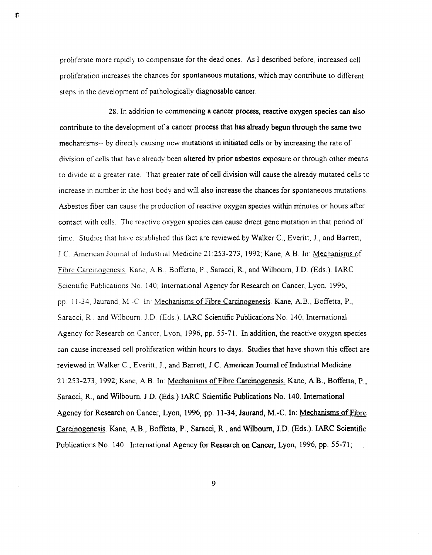proliferate more rapidly to compensate for the dead ones. As I described before, increased cell proliferation increases the chances for spontaneous mutations, which may contribute to different steps in the development of pathologically diagnosable cancer.

28. In addition to commencing a cancer process, reactive oxygen species can also contribute to the development of a cancer process that has already begun through the same two mechanisms-- by directly causing new mutations in initiated cells or by increasing the rate of division of cells that have already been altered by prior asbestos exposure or through other means to divide at a greater rate. That greater rate of cell division will cause the already mutated cells to increase in number in the host body and will also increase the chances for spontaneous mutations. Asbestos fiber can cause the production of reactive oxygen species within minutes or hours after contact with cells. The reactive oxygen species can cause direct gene mutation in that period of time Studies that have established this fact are reviewed by Walker C, Everitt, J, and Barrett, ] C American Journal of Industrial Medicine 21 :253-273, 1992; Kane, AB. In: Mechanisms of Fibre Carcinogenesis: Kane, AB.. Boffetta, P., Saracci, R., and Wilbourn, JD (Eds.).IARC Scientific Publications No 140, International Agency for Research on Cancer, Lyon, 1996, pp 11-34, Jaurand, M-C In Mechanisms of Fibre Carcinogenesis. Kane, AB., Boffetta, P., Saracci, R. and Wilbourn. ] D (Eds). IARC Scientific Publications No. 140; International Agency for Research on Cancer, Lyon, 1996, pp. 55-7l. In addition, the reactive oxygen species can cause increased cell proliferation within hours to days. Studies that have shown this effect are reviewed in Walker C, Everitt, J, and Barrett, J.C American Journal of Industrial Medicine 21:253-273, 1992; Kane, AB In: Mechanisms of Fibre Carcinogenesis. Kane, AB., Boffetta, P., Saracci, R., and Wilbourn, J.D. (Eds.) IARC Scientific Publications No. 140. International Agency for Research on Cancer, Lyon, 1996, pp. 11-34; Jaurand, M.-C. In: Mechanisms of Fibre Carcinogenesis. Kane, AB., Boffetta, P., Saracci, R, and Wllbourn, J.D. (Eds.). IARC Scientific Publications No. 140. International Agency for Research on Cancer, Lyon, 1996, pp. 55-71;

9

ि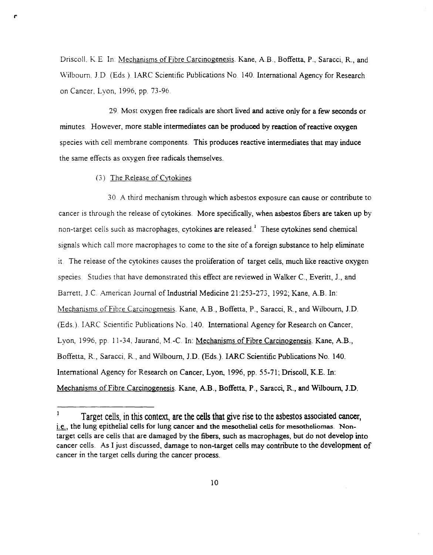Driscoll, K.E. In: Mechanisms of Fibre Carcinogenesis. Kane, A.B., Boffetta, P., Saracci, R., and Wilbourn, J.D. (Eds.). IARC Scientific Publications No. 140. International Agency for Research on Cancer, Lyon, 1996, pp. 73-96.

29. Most oxygen free radicals are short lived and active only for a few seconds or minutes. However, more stable intermediates can be produced by reaction of reactive oxygen species with cell membrane components. This produces reactive intermediates that may induce the same effects as oxygen free radicals themselves.

(3) The Release of Cytokines

30 A third mechanism through which asbestos exposure can cause or contribute to cancer is through the release of cytokines. More specifically, when asbestos fibers are taken up by non-target cells such as macrophages, cytokines are released.<sup>1</sup> These cytokines send chemical signals which call more macrophages to come to the site of a foreign substance to help eliminate it The release of the cytokines causes the proliferation of target cells, much like reactive oxygen species. Studies that have demonstrated this effect are reviewed in Walker C., Everitt, J., and Barrett, J.C. American Journal of Industrial Medicine 21:253-273, 1992; Kane, A.B. In: Mechanisms of Fibre Carcinogenesis. Kane, AB., Boffetta, P., Saracci, R., and Wilbourn, J.D. (Eds.). IARC Scientific Publications No. 140. International Agency for Research on Cancer, Lyon, 1996, pp. 11-34, Jaurand, M.-C. In: Mechanisms of Fibre Carcinogenesis. Kane, A.B., Boffetta, R., Saracci, R., and Wilbourn, J.D. (Eds.). !ARC Scientific Publications No. 140. International Agency for Research on Cancer, Lyon, 1996, pp. 55-71; Driscoll, K.E. In: Mechanisms of Fibre Carcinogenesis. Kane, A.B., Boffetta, P., Saracci, R., and Wilbourn, J.D.

 $\mathbf{1}$ Target celis, in this context, are the cells that give rise to the asbestos associated cancer, i.e., the lung epithelial cells for lung cancer and the mesothelial cells for mesotheliomas. Nontarget cells are cells that are damaged by the fibers, such as macrophages, but do not develop into cancer cells. As I just discussed, damage to non-target cells may contribute to the development of cancer in the target cells during the cancer process.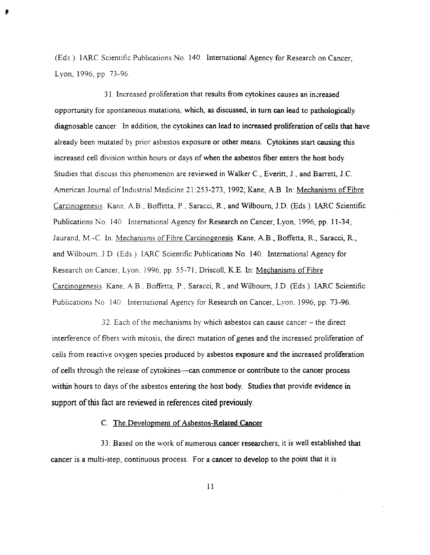(Eds) IARC Scientific Publications No 140. International Agency for Research on Cancer, Lyon, 1996, pp. 73-96.

 $\mathbf{r}$ 

31. Increased proliferation that results from cytokines causes an increased opportunity for spontaneous mutations, which, as discussed, in tum can lead to pathologically diagnosable cancer. In addition, the cytokines can lead to increased proliferation of cells that have already been mutated by prior asbestos exposure or other means. Cytokines start causing this increased cell division within hours or days of when the asbestos fiber enters the host body. Studies that discuss this phenomenon are reviewed in Walker c., Everitt, J., and Barrett, J.c. American Journal of Industrial Medicine 21:253-273,1992; Kane, A.B. In: Mechanisms of Fibre Carcinogenesis Kane, A.B., Boffetta, P., Saracci, R., and Wilbourn, J.D. (Eds.) IARC Scientific Publications No. 140. International Agency for Research on Cancer, Lyon, 1996, pp. 11-34; Jaurand, M.-C. In: Mechanisms of Fibre Carcinogenesis. Kane, A.B., Boffetta, R., Saracci, R., and Wilbourn, J D (Eds) IARC Scientific Publications No. 140. International Agency for Research on Cancer, Lyon. 1996, pp. 55-71; Driscoll, K.E. In: Mechanisms of Fibre Carcinogenesis Kane, AB, Boffetta, P., Saracci, R, and Wilbourn, J.D. (Eds.). IARC Scientific Publications No. 140. International Agency for Research on Cancer, Lvon, 1996, pp. 73-96.

32 Each of the mechanisms by which asbestos can cause cancer - the direct interference of fibers 'with mitosis, the direct mutation of genes and the increased proliferation of cells from reactive oxygen species produced by asbestos exposure and the increased proliferation of cells through the release of cytokines—can commence or contribute to the cancer process within hours to days of the asbestos entering the host body. Studies that provide evidence in support of this fact are reviewed in references cited previously.

c. The Development of Asbestos-Related Cancer

33. Based on the work of numerous cancer researchers, it is well established that cancer is a multi-step, continuous process. For a cancer to develop to the point that it is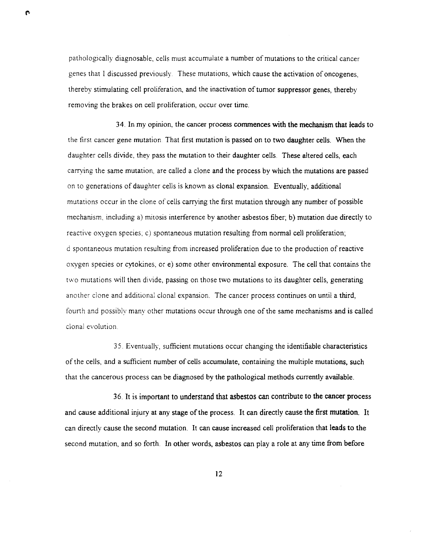pathologically diagnosable, cells must accumulate a number of mutations to the critical cancer genes that I discussed previously. These mutations, which cause the activation of oncogenes, thereby stimulating cell proliferation, and the inactivation of tumor suppressor genes, thereby removing the brakes on cell proliferation, occur over time.

 $\mathbf{r}$ 

34. In my opinion, the cancer process commences with the mechanism that leads to the first cancer gene mutation That first mutation is passed on to two daughter cells. When the daughter cells divide, they pass the mutation to their daughter cells. These altered cells, each carrying the same mutation, are called a clone and the process by which the mutations are passed on to generations of daughter cells is known as clonal expansion. Eventually, additional mutations occur in the clone of cells carrying the first mutation through any number of possible mechanism. including a) mitosis interference by another asbestos fiber; b) mutation due directly to reactive oxygen species; c) spontaneous mutation resulting from normal cell proliferation; d spontaneous mutation resulting from increased proliferation due to the production of reactive oxygen species or cytokines, or e) some other environmental exposure. The cell that contains the two mutations will then divide, passing on those two mutations to its daughter cells, generating another clone and additional clonal expansion. The cancer process continues on until a third, fourth and possibly many other mutations occur through one of the same mechanisms and is called clonal evolution

35. Eventually, sufficient mutations occur changing the identifiable characteristics of the cells, and a sufficient number of cells accumulate, containing the multiple mutations, such that the cancerous process can be diagnosed by the pathological methods currently available.

36. It is important to understand that asbestos can contribute to the cancer process and cause additional injury at any stage of the process. It can directly cause the first mutation. It can directly cause the second mutation. It can cause increased cell proliferation that leads to the second mutation, and so forth. In other words, asbestos can playa role at any time from before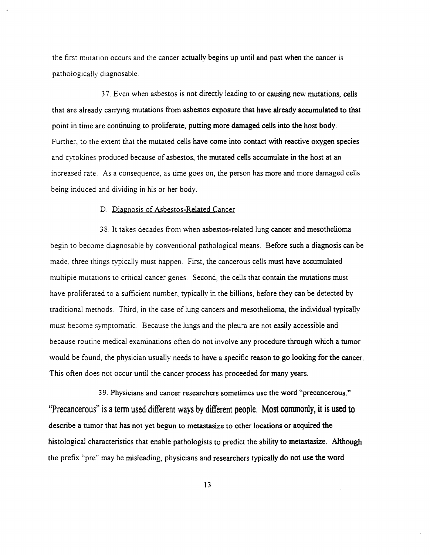the first mutation occurs and the cancer actually begins up until and past when the cancer is pathologically diagnosable.

37. Even when asbestos is not directly leading to or causing new mutations, cells that are already carrying mutations from asbestos exposure that have already accumulated to that point in time are continuing to proliferate, putting more damaged cells into the host body. Further, to the extent that the mutated cells have come into contact with reactive oxygen species and cytokines produced because of asbestos, the mutated cells accumulate in the host at an increased rate. As a consequence, as time goes on, the person has more and more damaged cells being induced and dividing in his or her body.

#### D. Diagnosis of Asbestos-Related Cancer

38. It takes decades from when asbestos-related lung cancer and mesothelioma begin to become diagnosable by conventional pathological means. Before such a diagnosis can be made, three things typically must happen. First, the cancerous cells must have accumulated multiple mutations to critical cancer genes. Second, the cells that contain the mutations must have proliferated to a sufficient number, typically in the billions, before they can be detected by traditional methods. Third, in the case of lung cancers and mesothelioma, the individual typically must become symptomatic. Because the lungs and the pleura are not easily accessible and because routine medical examinations often do not involve any procedure through which a tumor would be found, the physician usually needs to have a specific reason to go looking for the cancer. This often does not occur until the cancer process has proceeded for many years.

39. Physicians and cancer researchers sometimes use the word "precancerous." "Precancerous" is a tenn used different ways by different people. Most commonly, it is used to describe a tumor that has not yet begun to metastasize to other locations or acquired the histological characteristics that enable pathologists to predict the ability to metastasize. Although the prefix "pre" may be misleading, physicians and researchers typically do not use the word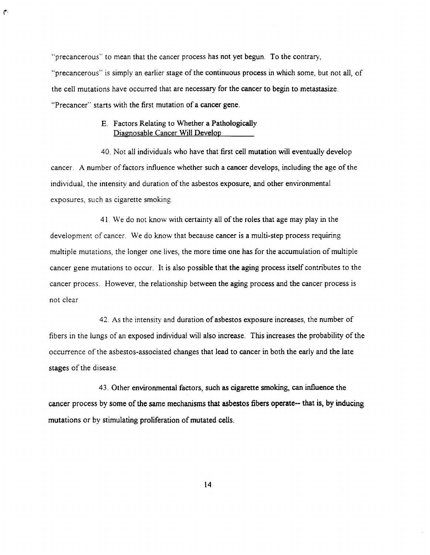"precancerous" to mean that the cancer process has not yet begun. To the contrary, "precancerous" is simply an earlier stage of the continuous process in which some, but not all, of the cell mutations have occurred that are necessary for the cancer to begin to metastasize. "Precancer" starts with the first mutation of a cancer gene.

# E. Factors Relating to Whether a Pathologically Diagnosable Cancer Will Develop

 $\mathbf{f}$ 

40. Not all individuals who have that first cell mutation will eventually develop cancer. A number of factors influence whether such a cancer develops, including the age of the individual, the intensity and duration of the asbestos exposure, and other environmental exposures, such as cigarette smoking

41. We do not know with certainty all of the roles that age may play in the development of cancer. We do know that because cancer is a multi-step process requiring multiple mutations, the longer one lives, the more time one has for the accumulation of multiple cancer gene mutations to occur. It is also possible that the aging process itself contributes to the cancer process. However, the relationship between the aging process and the cancer process is not clear

42. As the intensity and duration of asbestos exposure increases, the number of fibers in the lungs of an exposed individual will also increase. This increases the probability of the occurrence of the asbestos-associated changes that lead to cancer in both the early and the late stages of the disease.

43. Other environmental factors, such as cigarette smoking, can influence the cancer process by some of the same mechanisms that asbestos fibers operate- that is, by inducing mutations or by stimulating proliferation of mutated cells.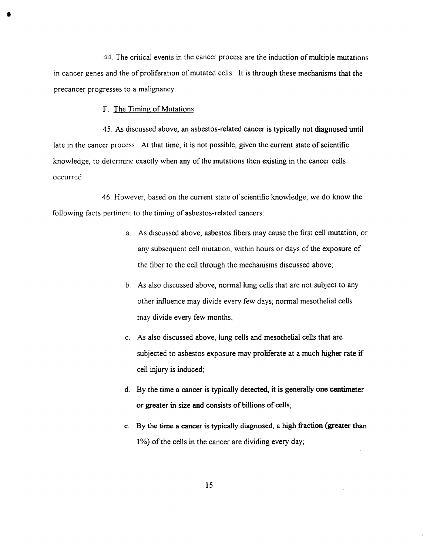44 The critical events in the cancer process are the induction of multiple mutations in cancer genes and the of proliferation of mutated cells. It is through these mechanisms that the precancer progresses to a malignancy.

F. The Timing of Mutations

45. As discussed above, an asbestos-related cancer is typically not diagnosed until late in the cancer process. At that time, it is not possible, given the current state of scientific knowledge, to determine exactly when any of the mutations then existing in the cancer cells occurred

46. However, based on the current state of scientific knowledge, we do know the following facts pertinent to the timing of asbestos-related cancers:

- a. As discussed above, asbestos fibers may cause the first cell mutation, or any subsequent cell mutation, within hours or days of the exposure of the fiber to the cell through the mechanisms discussed above;
- b As also discussed above, normal lung cells that are not subject to any other influence may divide every few days; normal mesothelial cells may divide every few months;
- c. As also discussed above, lung cells and mesothelial cells that are subjected to asbestos exposure may proliferate at a much higher rate if cell injury is induced;
- d. By the time a cancer is typically detected, it is generally one centimeter or greater in size and consists of billions of cells;
- e. By the time a cancer is typically diagnosed, a high fraction (greater than 1 %) of the cells in the cancer are dividing every day;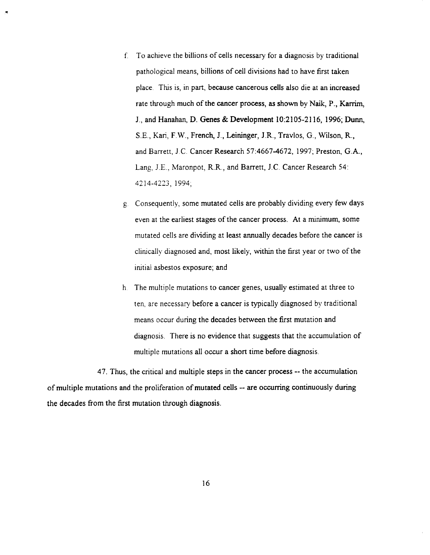- f. To achieve the billions of cells necessary for a diagnosis by traditional pathoiogical means, billions of cell divisions had to have first taken place This is, in part, because cancerous cells also die at an increased rate through much of the cancer process, as shown by Naik, P., Karrim, 1., and Hanahan, D. Genes & Development 10:2105-2116, 1996; Dunn, S.E., Kari, F.W., French, 1., Leininger, 1.R., Travlos, G., Wilson, R., and Barrett, 1.c. Cancer Research 57:4667-4672, 1997; Preston, G.A., Lang, J.E., Maronpot, R.R., and Barrett, J.C. Cancer Research 54: 4214-4223,1994;
- g Consequently, some mutated cells are probably dividing every few days even at the earliest stages of the cancer process. At a minimum, some mutated cells are dividing at least annually decades before the cancer is clinically diagnosed and, most likely, within the first year or two of the initial asbestos exposure; and
- h. The multiple mutations to cancer genes, usually estimated at three to ten, are necessary before a cancer is typically diagnosed by traditional means occur during the decades between the first mutation and diagnosis. There is no evidence that suggests that the accumulation of multiple mutations all occur a short time before diagnosis.

47. Thus, the critical and multiple steps in the cancer process -- the accumulation of multiple mutations and the proliferation of mutated cells - are occurring continuously during the decades from the first mutation through diagnosis.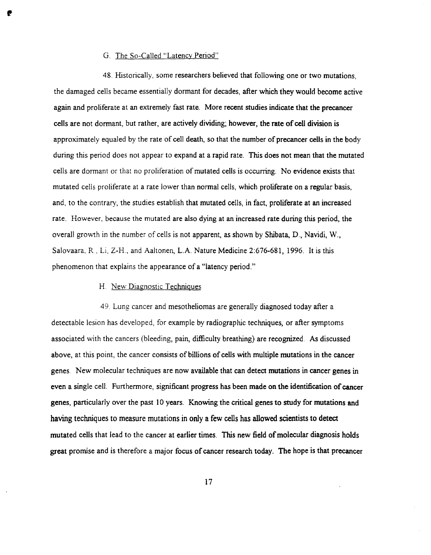## G. The So-Called "Latency Period"

•

48. Historically, some researchers believed that following one or two mutations, the damaged cells became essentially dormant for decades, after which they would become active again and proliferate at an extremely fast rate. More recent studies indicate that the precancer cells are not dormant, but rather, are actively dividing; however, the rate of cell division is approximately equaled by the rate of cell death, so that the number of precancer cells in the body during this period does not appear to expand at a rapid rate. This does not mean that the mutated cells are dormant or that no proliferation of mutated cells is occurring. No evidence exists that mutated cells proliferate at a rate lower than normal cells, which proliferate on a regular basis, and, to the contrary, the studies establish that mutated cells, in fact, proliferate at an increased rate. However, because the mutated are also dying at an increased rate during this period, the overall growth in the number of cells is not apparent, as shown by Shibata, D., Navidi, W., Salovaara, R, Li, Z-H, and Aaltonen, L.A. Nature Medicine 2:676-681, 1996. It is this phenomenon that explains the appearance of a "latency period."

#### H. New Diagnostic Techniques

49. Lung cancer and mesotheliomas are generally diagnosed today after a detectable lesion has developed, for example by radiographic techniques, or after symptoms associated with the cancers (bleeding, pain, difficulty breathing) are recognized. As discussed above, at this point, the cancer consists of billions of cells with multiple mutations in the cancer genes New molecular techniques are now available that can detect mutations in cancer genes in even a single cell. Furthermore, significant progress has been made on the identification of cancer genes, particularly over the past 10 years. Knowing the critical genes to study for mutations and having techniques to measure mutations in only a few cells has allowed scientists to detect mutated cells that lead to the cancer at earlier times. This new field of molecular diagnosis holds great promise and is therefore a major focus of cancer research today. The hope is that precancer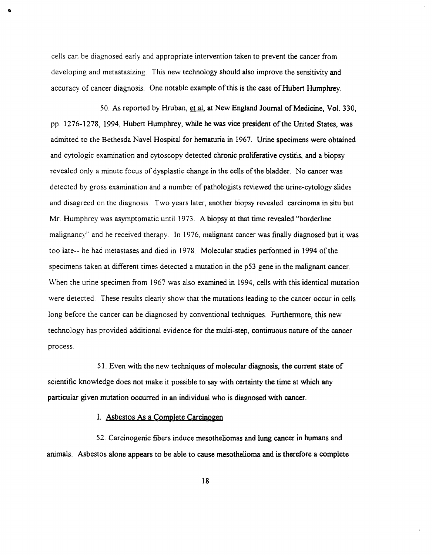cells can be diagnosed early and appropriate intervention taken to prevent the cancer from developing and metastasizing. This new technology should also improve the sensitivity and accuracy of cancer diagnosis. One notable example of this is the case of Hubert Humphrey.

•

50. As reported by Hruban, et aI. at New England Journal of Medicine, Vol. 330, pp. 1276-1278, 1994, Hubert Humphrey, while he was vice president of the United States, was admitted to the Bethesda Navel Hospital for hematuria in 1967. Urine specimens were obtained and cytologic examination and cytoscopy detected chronic proliferative cystitis, and a biopsy revealed only a minute focus of dysplastic change in the cells of the bladder. No cancer was detected by gross examination and a number of pathologists reviewed the urine-cytology slides and disagreed on the diagnosis. Two years later, another biopsy revealed carcinoma in situ but Mr. Humphrey was asymptomatic until 1973. A biopsy at that time revealed "borderline malignancy" and he received therapy. In 1976, malignant cancer was finally diagnosed but it was too late-- he had metastases and died in 1978. Molecular studies performed in 1994 of the specimens taken at different times detected a mutation in the p53 gene in the malignant cancer. When the urine specimen from 1967 was also examined in 1994, cells with this identical mutation were detected. These results clearly show that the mutations leading to the cancer occur in cells long before the cancer can be diagnosed by conventional techniques. Furthermore, this new technology has provided additional evidence for the multi-step, continuous nature of the cancer process

51. Even with the new techniques of molecular diagnosis, the current state of scientific knowledge does not make it possible to say with certainty the time at which any particular given mutation occurred in an individual who is diagnosed with cancer.

1. Asbestos As a Complete Carcinogen

52. Carcinogenic fibers induce mesotheliomas and lung cancer in humans and animals. Asbestos alone appears to be able to cause mesothelioma and is therefore a complete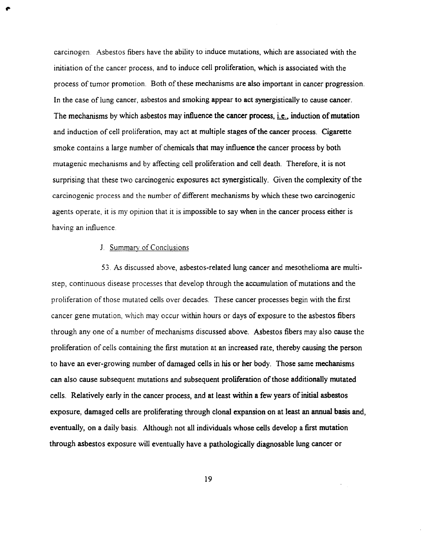carcinogen. Asbestos fibers have the ability to induce mutations, which are associated with the initiation of the cancer process, and to induce cell proliferation, which is associated with the process of tumor promotion. Both of these mechanisms are also important in cancer progression. In the case of lung cancer, asbestos and smoking appear to act synergistically to cause cancer. The mechanisms by which asbestos may influence the cancer process, *i.e.*, induction of mutation and induction of cell proliferation, may act at multiple stages of the cancer process. Cigarette smoke contains a large number of chemicals that may influence the cancer process by both mutagenic mechanisms and by affecting cell proliferation and cell death. Therefore, it is not surprising that these two carcinogenic exposures act synergistically. Given the complexity of the carcinogenic process and the number of different mechanisms by which these two carcinogenic agents operate, it is my opinion that it is impossible to say when in the cancer process either is having an influence

# J. Summary of Conclusions

,.

53. As discussed above, asbestos-related lung cancer and mesothelioma are multistep, continuous disease processes that develop through the accumulation of mutations and the proliferation of those mutated cells over decades. These cancer processes begin with the first cancer gene mutation, which may occur within hours or days of exposure to the asbestos fibers through anyone of a number of mechanisms discussed above. Asbestos fibers may also cause the proliferation of cells containing the first mutation at an increased rate, thereby causing the person to have an ever-growing number of damaged cells in his or her body. Those same mechanisms can also cause subsequent mutations and subsequent proliferation of those additionally mutated cells. Relatively early in the cancer process, and at least within a few years of initial asbestos exposure, damaged cells are proliferating through clonal expansion on at least an annual basis and, eventually, on a daily basis. Although not all individuals whose cells develop a first mutation through asbestos exposure will eventually have a pathologically diagnosable lung cancer or